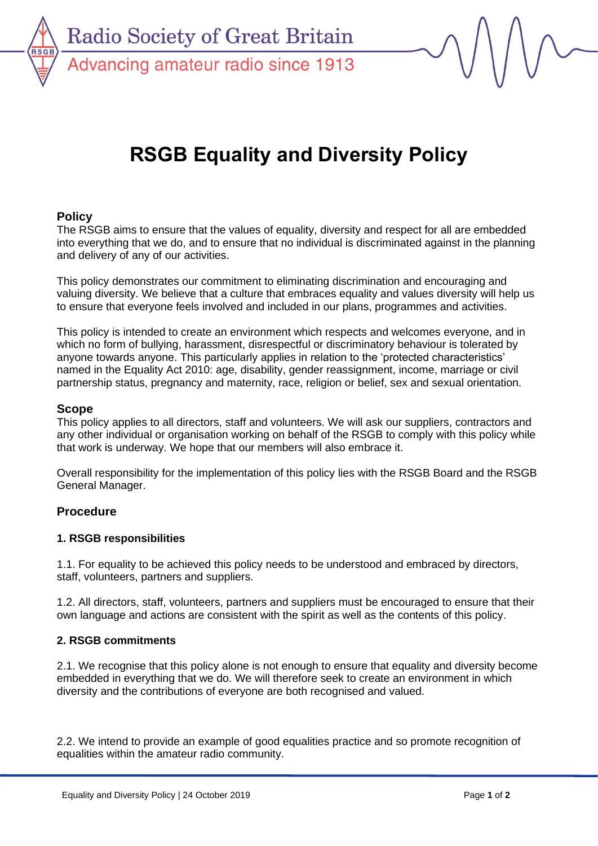

**Radio Society of Great Britain** Advancing amateur radio since 1913

# **RSGB Equality and Diversity Policy**

## **Policy**

The RSGB aims to ensure that the values of equality, diversity and respect for all are embedded into everything that we do, and to ensure that no individual is discriminated against in the planning and delivery of any of our activities.

This policy demonstrates our commitment to eliminating discrimination and encouraging and valuing diversity. We believe that a culture that embraces equality and values diversity will help us to ensure that everyone feels involved and included in our plans, programmes and activities.

This policy is intended to create an environment which respects and welcomes everyone, and in which no form of bullying, harassment, disrespectful or discriminatory behaviour is tolerated by anyone towards anyone. This particularly applies in relation to the 'protected characteristics' named in the Equality Act 2010: age, disability, gender reassignment, income, marriage or civil partnership status, pregnancy and maternity, race, religion or belief, sex and sexual orientation.

#### **Scope**

This policy applies to all directors, staff and volunteers. We will ask our suppliers, contractors and any other individual or organisation working on behalf of the RSGB to comply with this policy while that work is underway. We hope that our members will also embrace it.

Overall responsibility for the implementation of this policy lies with the RSGB Board and the RSGB General Manager.

### **Procedure**

### **1. RSGB responsibilities**

1.1. For equality to be achieved this policy needs to be understood and embraced by directors, staff, volunteers, partners and suppliers.

1.2. All directors, staff, volunteers, partners and suppliers must be encouraged to ensure that their own language and actions are consistent with the spirit as well as the contents of this policy.

### **2. RSGB commitments**

2.1. We recognise that this policy alone is not enough to ensure that equality and diversity become embedded in everything that we do. We will therefore seek to create an environment in which diversity and the contributions of everyone are both recognised and valued.

2.2. We intend to provide an example of good equalities practice and so promote recognition of equalities within the amateur radio community.